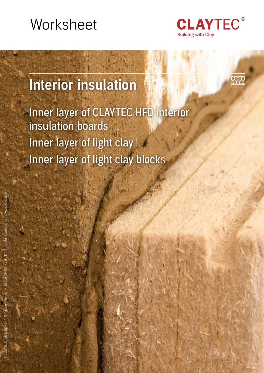# **Worksheet**



# Interior insulation

Inner layer of CLAYTEC HFD interior insulation boards Inner layer of light clay Inner layer of light clay blocks

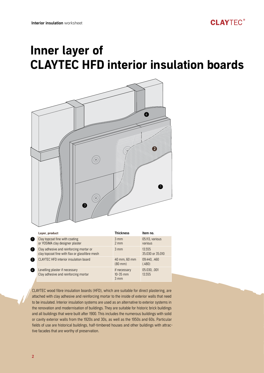

|                | Layer, product                                                                            | <b>Thickness</b>                               | Item no.                   |
|----------------|-------------------------------------------------------------------------------------------|------------------------------------------------|----------------------------|
|                | Clay topcoat fine with coating<br>or YOSIMA clay designer plaster                         | $3 \, \text{mm}$<br>$2 \, \text{mm}$           | 05.113, various<br>various |
| $\overline{2}$ | Clay adhesive and reinforcing mortar or<br>clay topcoat fine with flax or glassfibre mesh | $3 \, \text{mm}$                               | 13.555<br>35.030 or 35.010 |
| 3              | CLAYTEC HFD interior insulation board                                                     | 40 mm, 60 mm<br>$(80 \text{ mm})$              | 09.440, .460<br>(.480)     |
| $\frac{4}{3}$  | Levelling plaster if necessary<br>Clay adhesive and reinforcing mortar                    | if necessary<br>$10-35$ mm<br>$3 \, \text{mm}$ | 05.030, .001<br>13.555     |

CLAYTEC wood fibre insulation boards (HFD), which are suitable for direct plastering, are attached with clay adhesive and reinforcing mortar to the inside of exterior walls that need to be insulated. Interior insulation systems are used as an alternative to exterior systems in the renovation and modernisation of buildings. They are suitable for historic brick buildings and all buildings that were built after 1900. This includes the numerous buildings with solid or cavity exterior walls from the 1920s and 30s, as well as the 1950s and 60s. Particular fields of use are historical buildings, half-timbered houses and other buildings with attractive facades that are worthy of preservation.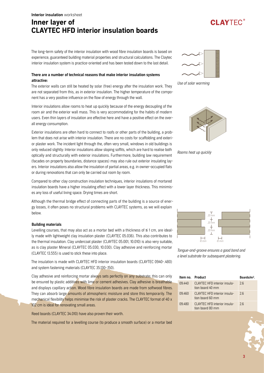# **CLAYTEC<sup>®</sup>**

The long-term safety of the interior insulation with wood fibre insulation boards is based on experience, guaranteed building material properties and structural calculations. The Claytec interior insulation system is practice-oriented and has been tested down to the last detail.

### There are a number of technical reasons that make interior insulation systems attractive:

The exterior walls can still be heated by solar (free) energy after the insulation work. They are not separated from this, as in exterior insulation. The higher temperature of the component has a very positive influence on the flow of energy through the wall.

Interior insulations allow rooms to heat up quickly because of the energy decoupling of the room air and the exterior wall mass. This is very accommodating for the habits of modern users. Even thin layers of insulation are effective here and have a positive effect on the overall energy consumption.

Exterior insulations are often hard to connect to roofs or other parts of the building, a problem that does not arise with interior insulation. There are no costs for scaffolding and exterior plaster work. The incident light through the, often very small, windows in old buildings is only reduced slightly: Interior insulations allow sloping soffits, which are hard to realise both optically and structurally with exterior insulations. Furthermore, building law requirement (facades on property boundaries, distance spaces) may also rule out exterior insulating layers. Interior insulations also allow the insulation of partial areas, e.g. in owner-occupied flats or during renovations that can only be carried out room by room.

Compared to other clay construction insulation techniques, interior insulations of mortared insulation boards have a higher insulating effect with a lower layer thickness. This minimises any loss of useful living space. Drying times are short.

Although the thermal bridge effect of connecting parts of the building is a source of energy losses, it often poses no structural problems with CLAYTEC systems, as we will explain below.

### Building materials

Levelling courses, that may also act as a mortar bed with a thickness of ≤ 1 cm, are ideally made with lightweight clay insulation plaster (CLAYTEC 05.036). This also contributes to the thermal insulation. Clay undercoat plaster (CLAYTEC 05.001, 10.010) is also very suitable, as is clay plaster Mineral (CLAYTEC 05.030, 10.030). Clay adhesive and reinforcing mortar (CLAYTEC 13.555) is used to stick these into place.

The insulation is made with CLAYTEC HFD interior insulation boards (CLAYTEC 0940-.480) and system fastening materials (CLAYTEC 35.130-.150).

Clay adhesive and reinforcing mortar always sets perfectly on any substrate; this can only be ensured by plastic additives with lime or cement adhesives. Clay adhesive is breathable and displays capillary action. Wood fibre insulation boards are made from softwood fibres. They can absorb large amounts of atmospheric moisture and store this temporarily. The mechanical flexibility helps minimise the risk of plaster cracks. The CLAYTEC format of 40 x 102 cm is ideal for renovating small areas.

Reed boards (CLAYTEC 34.010) have also proven their worth.

The material required for a levelling course (to produce a smooth surface) or a mortar bed



Use of solar warming



Rooms heat up quickly





| Item no. Product |                                                  | Boards/m <sup>2</sup> |
|------------------|--------------------------------------------------|-----------------------|
| 09.440           | CLAYTEC HED interior insula-<br>tion board 40 mm | 26                    |
| 09.460           | CLAYTEC HED interior insula-<br>tion board 60 mm | 26                    |
| 09.480           | CLAYTEC HFD interior insula-<br>tion board 80 mm | 26                    |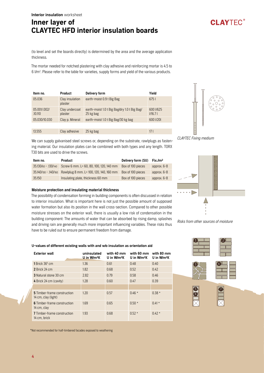(to level and set the boards directly) is determined by the area and the average application thickness.

The mortar needed for notched plastering with clay adhesive and reinforcing mortar is 4.5 to 6 l/m2 . Please refer to the table for varieties, supply forms and yield of the various products.

| Item no.                | <b>Product</b>             | Delivery form                                             | Yield                   |
|-------------------------|----------------------------|-----------------------------------------------------------|-------------------------|
| 05.036                  | Clay insulation<br>plaster | earth-moist 0.9 t Big Bag                                 | 6751                    |
| 05.001/.002/<br>.10.110 | Clay undercoat<br>plaster  | earth-moist 1.0 t Big Bag/dry 1.0 t Big Bag/<br>25 kg bag | 600 1/625<br>$V$ 16.7 l |
| 05.030/10.030           | Clay p. Mineral            | earth-moist 1.0 t Big Bag/30 kg bag                       | 600 1/201               |
|                         |                            |                                                           |                         |
| 13.555                  | Clay adhesive              | 25 kg bag                                                 | 17 I                    |



**CLAYTFC®** 

We can supply galvanised steel screws or, depending on the substrate, rawlplugs as fastening material. Our insulation plates can be combined with both types and any length. TORX T30 bits are used to drive the screws.

| Item no.              | Product                                 | Delivery form (SU) | Fix./m <sup>2</sup> |
|-----------------------|-----------------------------------------|--------------------|---------------------|
| 35.130/60 - .130/140  | Screw 6 mm. L= 60, 80, 100, 120, 140 mm | Box of 100 pieces  | approx. $6-8$       |
| 35.140/100 - .140/160 | Rawlplug 8 mm. L= 100, 120, 140, 160 mm | Box of 100 pieces  | approx. $6-8$       |
| 35.150                | Insulating plate, thickness 60 mm       | Box of 100 pieces  | approx. 6-8         |

### Moisture protection and insulating material thickness

The possibility of condensation forming in building components is often discussed in relation to interior insulation. What is important here is not just the possible amount of supposed water formation but also its position in the wall cross-section. Compared to other possible moisture stresses on the exterior wall, there is usually a low risk of condensation in the building component: The amounts of water that can be absorbed by rising damp, splashes and driving rain are generally much more important influencing variables. These risks thus have to be ruled out to ensure permanent freedom from damage.



U-values of different existing walls with and w/o insulation as orientation aid

| <b>Exterior wall</b>                               | uninsulated<br>U in W/m <sup>2</sup> K | with 40 mm<br>U in $W/m^2K$ | with 60 mm<br>U in W/m <sup>2</sup> K | with 80 mm<br>U in $W/m^2K$ |
|----------------------------------------------------|----------------------------------------|-----------------------------|---------------------------------------|-----------------------------|
| 1 Brick $365$ cm                                   | 1.36                                   | 0.61                        | 0.48                                  | 0.40                        |
| 2 Brick 24 cm                                      | 1.82                                   | 0.68                        | 0.52                                  | 0.42                        |
| <b>3</b> Natural stone 30 cm                       | 2.82                                   | 0.79                        | 0.58                                  | 0.46                        |
| 4 Brick 24 cm (cavity)                             | 1.28                                   | 0.60                        | 0.47                                  | 0.39                        |
|                                                    |                                        |                             |                                       |                             |
| 5 Timber-frame construction<br>14 cm, clay (light) | 1.20                                   | 0.57                        | $0.46*$                               | $0.38*$                     |
| 6 Timber-frame construction<br>14 cm, clay         | 1.69                                   | 0.65                        | $0.50*$                               | $0.41*$                     |
| <b>7</b> Timber-frame construction<br>14 cm, brick | 1.93                                   | 0.68                        | $0.52*$                               | $0.42*$                     |





7



6 5

\*Not recommended for half-timbered facades exposed to weathering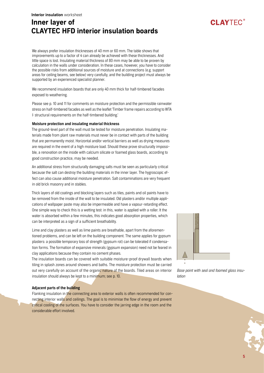We always prefer insulation thicknesses of 40 mm or 60 mm. The table shows that improvements up to a factor of 4 can already be achieved with these thicknesses. And little space is lost. Insulating material thickness of 80 mm may be able to be proven by calculation in the walls under consideration. In these cases, however, you have to consider the possible risks from additional sources of moisture and at connections (e.g. support areas for ceiling beams, see below) very carefully, and the building project must always be supported by an experienced specialist planner.

We recommend insulation boards that are only 40 mm thick for half-timbered facades exposed to weathering.

Please see p. 10 and 11 for comments on moisture protection and the permissible rainwater stress on half-timbered facades as well as the leaflet 'Timber frame repairs according to WTA I: structural requirements on the half-timbered building.'

### Moisture protection and insulating material thickness

The ground-level part of the wall must be tested for moisture penetration. Insulating materials made from plant raw materials must never be in contact with parts of the building that are permanently moist. Horizontal and/or vertical barriers as well as drying measures are required in the event of a high moisture load. Should these prove structurally impossible, a renovation on the inside with calcium silicate or foamed glass boards, according to good construction practice, may be needed.

An additional stress from structurally damaging salts must be seen as particularly critical because the salt can destroy the building materials in the inner layer. The hygroscopic effect can also cause additional moisture penetration. Salt contaminations are very frequent in old brick masonry and in stables.

Thick layers of old coatings and blocking layers such as tiles, paints and oil paints have to be removed from the inside of the wall to be insulated. Old plasters and/or multiple applications of wallpaper paste may also be impermeable and have a vapour-retarding effect. One simple way to check this is a wetting test: in this, water is applied with a roller. It the water is absorbed within a few minutes, this indicates good absorption properties, which can be interpreted as a sign of a sufficient breathability.

Lime and clay plasters as well as lime paints are breathable, apart from the aforementioned problems, and can be left on the building component. The same applies for gypsum plasters: a possible temporary loss of strength (gypsum rot) can be tolerated if condensation forms. The formation of expansive minerals (gypsum expansion) need not be feared in clay applications because they contain no cement phases.

The insulation boards can be covered with suitable moisture-proof drywall boards when tiling in splash zones around showers and baths. The moisture protection must be carried out very carefully on account of the organic nature of the boards. Tiled areas on interior insulation should always be kept to a minimum; see p. 10.

### Adjacent parts of the building

Flanking insulation in the connecting area to exterior walls is often recommended for connecting interior walls and ceilings. The goal is to minimise the flow of energy and prevent critical cooling of the surfaces. You have to consider the jarring edge in the room and the considerable effort involved.



Base point with seal and foamed glass insulation

# **CI AYTEC®**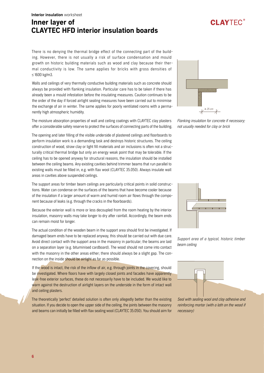There is no denying the thermal bridge effect of the connecting part of the building. However, there is not usually a risk of surface condensation and mould growth on historic building materials such as wood and clay because their thermal conductivity is low. The same applies for bricks with gross densities of ≤ 1600 kg/m3.

Walls and ceilings of very thermally conductive building materials such as concrete should always be provided with flanking insulation. Particular care has to be taken if there has already been a mould infestation before the insulating measures. Caution continues to be the order of the day if forced airtight sealing measures have been carried out to minimise the exchange of air in winter. The same applies for poorly ventilated rooms with a permanently high atmospheric humidity.

The moisture absorption properties of wall and ceiling coatings with CLAYTEC clay plasters offer a considerable safety reserve to protect the surfaces of connecting parts of the building.

The opening and later filling of the visible underside of plastered ceilings and floorboards to perform insulation work is a demanding task and destroys historic structures. The ceiling construction of wood, straw clay or light fill materials and air inclusions is often not a structurally critical thermal bridge but only an energy weak point that may be tolerable. If the ceiling has to be opened anyway for structural reasons, the insulation should be installed between the ceiling beams. Any existing cavities behind trimmer beams that run parallel to existing walls must be filled in, e.g. with flax wool (CLAYTEC 35.050). Always insulate wall areas in cavities above suspended ceilings.

The support areas for timber beam ceilings are particularly critical points in solid constructions. Water can condense on the surfaces of the beams that have become cooler because of the insulation if a larger amount of warm and humid room air flows through the component because of leaks (e.g. through the cracks in the floorboards).

Because the exterior wall is more or less decoupled from the room heating by the interior insulation, masonry walls may take longer to dry after rainfall. Accordingly, the beam ends can remain moist for longer.

The actual condition of the wooden beam in the support area should first be investigated. If damaged beam ends have to be replaced anyway, this should be carried out with due care. Avoid direct contact with the support area in the masonry in particular; the beams are laid on a separation layer (e.g. bituminised cardboard). The wood should not come into contact with the masonry in the other areas either; there should always be a slight gap. The connection on the inside should be airtight as far as possible.

If the wood is intact, the risk of the inflow of air, e.g. through joints in the covering, should be investigated. Where floors have with largely closed joints and facades have apparently leak-free exterior surfaces, these do not necessarily have to be included. We would like to warn against the destruction of airtight layers on the underside in the form of intact wall and ceiling plasters.

The theoretically 'perfect' detailed solution is often only allegedly better than the existing situation. If you decide to open the upper side of the ceiling, the joints between the masonry and beams can initially be filled with flax sealing wool (CLAYTEC 35.050). You should aim for



Flanking insulation for concrete if necessary; not usually needed for clay or brick



Support area of a typical, historic timber beam ceiling



Seal with sealing wool and clay adhesive and reinforcing mortar (with a lath on the wood if necessary)



**CI AYTEC®**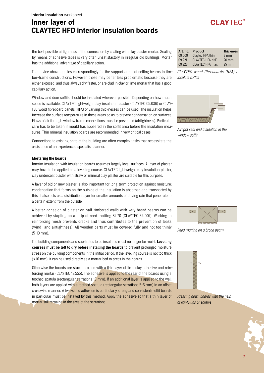### Interior insulation worksheet

# Inner layer of CLAYTEC HFD interior insulation boards

### the best possible airtightness of the connection by coating with clay plaster mortar. Sealing by means of adhesive tapes is very often unsatisfactory in irregular old buildings. Mortar has the additional advantage of capillary action.

The advice above applies correspondingly for the support areas of ceiling beams in timber-frame constructions. However, these may be far less problematic because they are either exposed, and thus always dry faster, or are clad in clay or lime mortar that has a good capillary action.

Window and door soffits should be insulated wherever possible. Depending on how much space is available, CLAYTEC lightweight clay insulation plaster (CLAYTEC 05.036) or CLAY-TEC wood fibreboard panels (HFA) of varying thicknesses can be used. The insulation helps increase the surface temperature in these areas so as to prevent condensation on surfaces. Flows of air through window frame connections must be prevented (airtightness). Particular care has to be taken if mould has appeared in the soffit area before the insulation measures. Thin mineral insulation boards are recommended in very critical cases.

Connections to existing parts of the building are often complex tasks that necessitate the assistance of an experienced specialist planner.

### Mortaring the boards

Interior insulation with insulation boards assumes largely level surfaces. A layer of plaster may have to be applied as a levelling course. CLAYTEC lightweight clay insulation plaster, clay undercoat plaster with straw or mineral clay plaster are suitable for this purpose.

A layer of old or new plaster is also important for long-term protection against moisture: condensation that forms on the outside of the insulation is absorbed and transported by this. It also acts as a distribution layer for smaller amounts of driving rain that penetrate to a certain extent from the outside.

A better adhesion of plaster on half-timbered walls with very broad beams can be achieved by stapling on a strip of reed matting St 70 (CLAYTEC 34.001). Working in reinforcing mesh prevents cracks and thus contributes to the prevention of leaks (wind- and airtightness). All wooden parts must be covered fully and not too thinly (5-10 mm).

The building components and substrates to be insulated must no longer be moist. Levelling courses must be left to dry before installing the boards to prevent prolonged moisture stress on the building components in the initial period. If the levelling course is not too thick (≤ 10 mm), it can be used directly as a mortar bed to press in the boards.

Otherwise the boards are stuck in place with a thin layer of lime clay adhesive and reinforcing mortar (CLAYTEC 13.555). The adhesive is applied to the rear of the boards using a toothed spatula (rectangular serrations 10 mm). If an additional layer is applied to the wall, both layers are applied with a toothed spatula (rectangular serrations 5-6 mm) in an offset crosswise manner. A two-sided adhesion is particularly strong and consistent; soffit boards in particular must be installed by this method. Apply the adhesive so that a thin layer of mortar still remains in the area of the serrations.

| Art. no. | Product                 | <b>Thickness</b> |
|----------|-------------------------|------------------|
| 09.009   | Claytec HFA thin        | $8 \text{ mm}$   |
| 09.221   | CLAYTEC HFA N+F         | $20 \text{ mm}$  |
| 09 226   | <b>CLAYTEC HFA maxi</b> | $25 \text{ mm}$  |

CLAYTEC wood fibreboards (HFA) to insulate soffits



Airtight seal and insulation in the window soffit



Reed matting on a broad beam



Pressing down boards with the help of rawlplugs or screws



# **CI AYTEC®**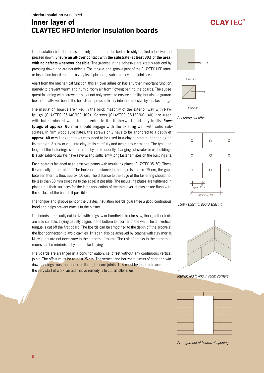### The insulation board is pressed firmly into the mortar bed or freshly applied adhesive and pressed down. Ensure an all-over contact with the substrate (at least 80% of the area) with no defects wherever possible. The grooves in the adhesive are greatly reduced by pressing down and are not defects. The tongue-and-groove joint of the CLAYTEC HFD interior insulation board ensures a very level plastering substrate, even in joint areas.

Apart from the mechanical function, this all-over adhesion has a further important function, namely to prevent warm and humid room air from flowing behind the boards. The subsequent fastening with screws or plugs not only serves to ensure stability, but also to guarantee thethe all-over bond. The boards are pressed firmly into the adhesive by this fastening.

The insulation boards are fixed in the brick masonry of the exterior wall with Rawlplugs (CLAYTEC 35.140/100-160). Screws (CLAYTEC 35.130/60-140) are used with half-timbered walls for fastening in the timberwork and clay infills. Rawlplugs of approx. 60 mm should engage with the existing wall with solid substrates. In firm wood substrates, the screws only have to be anchored to a depth of approx. 40 mm Longer screws may need to be used in a clay substrate, depending on its strength. Screw or drill into clay infills carefully and avoid any vibrations. The type and length of the fastenings is determined by the frequently changing substrates in old buildings. It is advisable to always have several and sufficiently long fastener types on the building site.

Each board is fastened at at least two points with insulating plates (CLAYTEC 35.150). These lie vertically in the middle. The horizontal distance to the edge is approx. 25 cm, the gaps between them is thus approx. 50 cm. The distance to the edge of the fastening should not be less than 60 mm (spacing to the edge) if possible. The insulating plates are tightened in place until their surfaces for the later application of the thin layer of plaster are flush with the surface of the boards if possible.

The tongue-and-groove joint of the Claytec insulation boards guarantee a good continuous bond and helps prevent cracks in the plaster.

The boards are usually cut to size with a jigsaw or handheld circular saw, though other tools are also suitable. Laying usually begins in the bottom left corner of the wall. The left vertical tongue is cut off the first board. The boards can be smoothed to the depth off the groove at the floor connection to avoid cavities. This can also be achieved by coating with clay mortar. Mitre joints are not necessary in the corners of rooms. The risk of cracks in the corners of rooms can be minimised by interlocked laying.

The boards are arranged in a bond formation, i.e. offset without any continuous vertical joints. The offset must be at least 25 cm. The vertical and horizontal limits of door and window openings must not continue through board joints. This must be taken into account at the very start of work; an alternative remedy is to cut smaller sizes.



**CLAYTFC®** 

Anchorage depths







Interlocked laying in room corners



Arrangement of boards at openings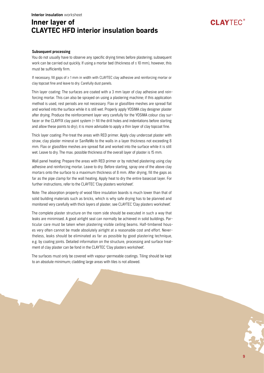### Subsequent processing

You do not usually have to observe any specific drying times before plastering; subsequent work can be carried out quickly. If using a mortar bed (thickness of  $\leq$  10 mm), however, this must be sufficiently firm.

If necessary, fill gaps of ≥ 1 mm in width with CLAYTEC clay adhesive and reinforcing mortar or clay topcoat fine and leave to dry. Carefully dust panels.

Thin layer coating: The surfaces are coated with a 3 mm layer of clay adhesive and reinforcing mortar. This can also be sprayed on using a plastering machine; if this application method is used, rest periods are not necessary. Flax or glassfibre meshes are spread flat and worked into the surface while it is still wet. Properly apply YOSIMA clay designer plaster after drying. Produce the reinforcement layer very carefully for the YOSIMA colour clay surfacer or the CLAYFIX clay paint system (= fill the drill holes and indentations before starting and allow these points to dry); it is more advisable to apply a thin layer of clay topcoat fine.

Thick layer coating: Pre-treat the areas with RED primer. Apply clay undercoat plaster with straw, clay plaster mineral or SanReMo to the walls in a layer thickness not exceeding 8 mm. Flax or glassfibre meshes are spread flat and worked into the surface while it is still wet. Leave to dry. The max. possible thickness of the overall layer of plaster is 15 mm.

Wall panel heating: Prepare the areas with RED primer or by notched plastering using clay adhesive and reinforcing mortar. Leave to dry. Before starting, spray one of the above clay mortars onto the surface to a maximum thickness of 8 mm. After drying, fill the gaps as far as the pipe clamp for the wall heating. Apply heat to dry the entire basecoat layer. For further instructions, refer to the CLAYTEC 'Clay plasters worksheet'.

Note: The absorption property of wood fibre insulation boards is much lower than that of solid building materials such as bricks, which is why safe drying has to be planned and monitored very carefully with thick layers of plaster; see CLAYTEC 'Clay plasters worksheet'.

The complete plaster structure on the room side should be executed in such a way that leaks are minimised. A good airtight seal can normally be achieved in solid buildings. Particular care must be taken when plastering visible ceiling beams. Half-timbered houses very often cannot be made absolutely airtight at a reasonable cost and effort. Nevertheless, leaks should be eliminated as far as possible by good plastering technique, e.g. by coating joints. Detailed information on the structure, processing and surface treatment of clay plaster can be fond in the CLAYTEC 'Clay plasters worksheet'.

The surfaces must only be covered with vapour-permeable coatings. Tiling should be kept to an absolute minimum; cladding large areas with tiles is not allowed.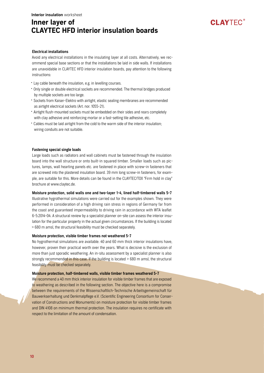# **CLAYTFC®**

### Electrical installations

Avoid any electrical installations in the insulating layer at all costs. Alternatively, we recommend special base sections or that the installations be laid in side walls. If installations are unavoidable in CLAYTEC HFD interior insulation boards, pay attention to the following instructions:

- Lay cable beneath the insulation, e.g. in levelling courses.
- Only single or double electrical sockets are recommended. The thermal bridges produced by multiple sockets are too large.
- Sockets from Kaiser-Elektro with airtight, elastic sealing membranes are recommended as airtight electrical sockets (Art. nor. 1055-21).
- Airtight flush-mounted sockets must be embedded on their sides and rears completely with clay adhesive and reinforcing mortar or a fast-setting tile adhesive, etc.
- Cables must be laid airtight from the cold to the warm side of the interior insulation; wiring conduits are not suitable.

### Fastening special single loads

Large loads such as radiators and wall cabinets must be fastened through the insulation board into the wall structure or onto built-in squared timber. Smaller loads such as pictures, lamps, wall hearting panels etc. are fastened in place with screw-in fasteners that are screwed into the plastered insulation board. 39 mm long screw-in fasteners, for example, are suitable for this. More details can be found in the CLAYTEC/TOX "Firm hold in clay" brochure at www.claytec.de.

### Moisture protection, solid walls one and two-layer 1-4, lined half-timbered walls 5-7

Illustrative hygrothermal simulations were carried out for the examples shown. They were performed in consideration of a high driving rain stress in regions of Germany far from the coast and guaranteed impermeability to driving rain in accordance with WTA leaflet 6-5:2014-04. A structural review by a specialist planner on-site can assess the interior insulation for the particular property in the actual given circumstances. If the building is located > 680 m amsl, the structural feasibility must be checked separately.

### Moisture protection, visible timber frames not weathered 5-7

No hygrothermal simulations are available. 40 and 60 mm thick interior insulations have, however, proven their practical worth over the years. What is decisive is the exclusion of more than just sporadic weathering. An in-situ assessment by a specialist planner is also strongly recommended in this case. If the building is located > 680 m amsl, the structural feasibility must be checked separately.

### Moisture protection, half-timbered walls, visible timber frames weathered 5-7

We recommend a 40 mm thick interior insulation for visible timber frames that are exposed to weathering as described in the following section. The objective here is a compromise between the requirements of the Wissenschaftlich-Technische Arbeitsgemeinschaft für Bauwerkserhaltung und Denkmalpflege e.V. (Scientific Engineering Consortium for Conservation of Constructions and Monuments) on moisture protection for visible timber frames and DIN 4108 on minimum thermal protection. The insulation requires no certificate with respect to the limitation of the amount of condensation.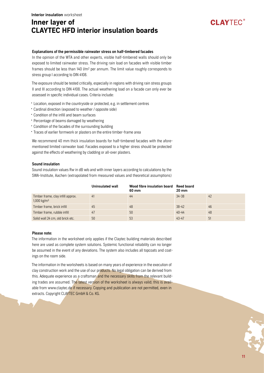### Explanations of the permissible rainwater stress on half-timbered facades

In the opinion of the WTA and other experts, visible half-timbered walls should only be exposed to limited rainwater stress. The driving rain load on facades with visible timber frames should be less than 140 l/m2 per annum. The limit value roughly corresponds to stress group I according to DIN 4108.

The exposure should be tested critically, especially in regions with driving rain stress groups II and III according to DIN 4108. The actual weathering load on a facade can only ever be assessed in specific individual cases. Criteria include:

- Location, exposed in the countryside or protected, e.g. in settlement centres
- Cardinal direction (exposed to weather / opposite side)
- Condition of the infill and beam surfaces
- Percentage of beams damaged by weathering
- Condition of the facades of the surrounding building
- Traces of earlier formwork or plasters on the entire timber-frame area

We recommend 40 mm thick insulation boards for half-timbered facades with the aforementioned limited rainwater load. Facades exposed to a higher stress should be protected against the effects of weathering by cladding or all-over plasters.

### Sound insulation

Sound insulation values Rw in dB w/o and with inner layers according to calculations by the SWA-Institute, Aachen (extrapolated from measured values and theoretical assumptions)

|                                                                | Uninsulated wall | Wood fibre insulation board<br>60 mm | <b>Reed board</b><br>$20 \text{ mm}$ |    |
|----------------------------------------------------------------|------------------|--------------------------------------|--------------------------------------|----|
| Timber frame, clay infill approx.<br>$1,000$ kg/m <sup>3</sup> | 41               | 44                                   | $34 - 38$                            | 42 |
| Timber frame, brick infill                                     | 45               | 48                                   | $38 - 42$                            | 46 |
| Timber frame, rubble infill                                    | 47               | 50                                   | $40 - 44$                            | 48 |
| Solid wall 24 cm, old brick etc.                               | 50               | 53                                   | $43 - 47$                            | 51 |

### Please note:

The information in the worksheet only applies if the Claytec building materials described here are used as complete system solutions. Systemic functional reliability can no longer be assumed in the event of any deviations. The system also includes all topcoats and coatings on the room side.

The information in the worksheets is based on many years of experience in the execution of clay construction work and the use of our products. No legal obligation can be derived from this. Adequate experience as a craftsman and the necessary skills from the relevant building trades are assumed. The latest version of the worksheet is always valid; this is available from www.claytec.de if necessary. Copying and publication are not permitted, even in extracts. Copyright CLAYTEC GmbH & Co. KG.

**CLAYTFC®**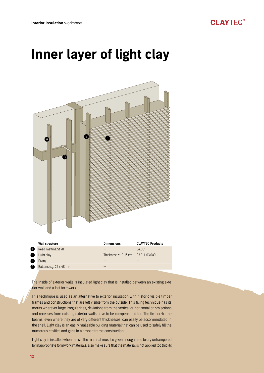

|   | <b>Wall structure</b>   | <b>Dimensions</b>      | <b>CLAYTEC Products</b> |
|---|-------------------------|------------------------|-------------------------|
|   | Reed matting St 70      |                        | 34,001                  |
|   | Light clay              | Thickness = $10-15$ cm | 03.011, 03.040          |
| 3 | <b>Fixing</b>           |                        |                         |
| 4 | Battens e.g. 24 x 48 mm |                        |                         |
|   |                         |                        |                         |

The inside of exterior walls is insulated light clay that is installed between an existing exterior wall and a lost formwork.

This technique is used as an alternative to exterior insulation with historic visible timber frames and constructions that are left visible from the outside. This filling technique has its merits wherever large irregularities, deviations from the vertical or horizontal or projections and recesses from existing exterior walls have to be compensated for. The timber-frame beams, even where they are of very different thicknesses, can easily be accommodated in the shell. Light clay is an easily malleable building material that can be used to safely fill the numerous cavities and gaps in a timber-frame construction.

Light clay is installed when moist. The material must be given enough time to dry unhampered by inappropriate formwork materials; also make sure that the material is not applied too thickly.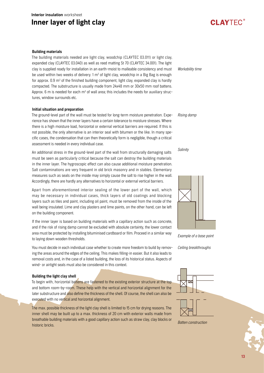### Building materials

The building materials needed are light clay, woodchip (CLAYTEC 03.011) or light clay, expanded clay (CLAYTEC 03.040) as well as reed matting St 70 (CLAYTEC 34.001). The light clay is supplied ready for installation in an earth-moist to malleable consistency and must be used within two weeks of delivery. 1 m<sup>3</sup> of light clay, woodchip in a Big Bag is enough for approx. 0.9 m<sup>3</sup> of the finished building component, light clay, expanded clay is hardly compacted. The substructure is usually made from 24x48 mm or 30x50 mm roof battens. Approx. 6 m is needed for each m<sup>3</sup> of wall area; this includes the needs for auxiliary structures, window surrounds etc.

### Initial situation and preparation

The ground-level part of the wall must be tested for long-term moisture penetration. Experience has shown that the inner layers have a certain tolerance to moisture stresses. Where there is a high moisture load, horizontal or external vertical barriers are required. If this is not possible, the only alternative is an interior seal with bitumen or the like. In many specific cases, the condensation that can then theoretically form is negligible, though a critical assessment is needed in every individual case. Rising damp

An additional stress in the ground-level part of the wall from structurally damaging salts must be seen as particularly critical because the salt can destroy the building materials in the inner layer. The hygroscopic effect can also cause additional moisture penetration. Salt contaminations are very frequent in old brick masonry and in stables. Elementary measures such as seals on the inside may simply cause the salt to rise higher in the wall. Accordingly, there are hardly any alternatives to horizontal or external vertical barriers.

Apart from aforementioned interior sealing of the lower part of the wall, which may be necessary in individual cases, thick layers of old coatings and blocking layers such as tiles and paint, including oil paint, must be removed from the inside of the wall being insulated. Lime and clay plasters and lime paints, on the other hand, can be left on the building component.

If the inner layer is based on building materials with a capillary action such as concrete, and if the risk of rising damp cannot be excluded with absolute certainty, the lower contact area must be protected by installing bituminised cardboard or film. Proceed in a similar way to laying down wooden thresholds.

You must decide in each individual case whether to create more freedom to build by removing the areas around the edges of the ceiling. This makes filling-in easier. But it also leads to removal costs and, in the case of a listed building, the loss of its historical status. Aspects of wind- or airtight seals must also be considered in this context.

### Building the light clay shell

To begin with, horizontal battens are fastened to the existing exterior structure at the top and bottom room-by-room. These help with the vertical and horizontal alignment for the later substructure and also define the thickness of the shell. Of course, the shell can also be executed with no vertical and horizontal alignment.

The max. possible thickness of the light clay shell is limited to 15 cm for drying reasons. The inner shell may be built up to a max. thickness of 20 cm with exterior walls made from breathable building materials with a good capillary action such as straw clay, clay blocks or historic bricks.

Workability time

**CI AYTEC®** 

### Salinity



Example of a base point

Ceiling breakthroughs





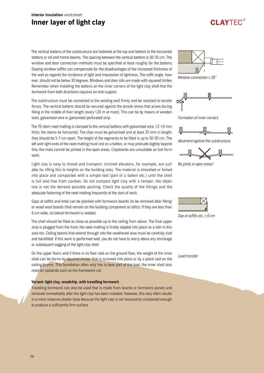The vertical battens of the substructure are fastened at the top and bottom to the horizontal battens or sill and frame beams. The spacing between the vertical battens is 30-35 cm. The window and door connection methods must be specified at least roughly for the battens. Sloping window soffits can compensate for the disadvantages of the increased thickness of the wall as regards the incidence of light and impression of lightness. The soffit angle, however, should not be below 30 degrees. Windows and door sills are made with squared timber. Remember when installing the battens on the inner corners of the light clay shell that the formwork from both directions requires an end support.

The substructure must be connected to the existing wall firmly and be resistant to tensile forces. The vertical battens should be secured against the tensile stress that arises during filling in the middle of their length (every 1.20 m at most). This can be by means of wooden slats, galvanised wire or galvanised perforated strip.

The 70-stem reed matting is clamped to the vertical battens with galvanised wire, 1.2-1.6 mm thick; the stems lie horizontal. The clips must be galvanised and at least 25 mm in length; they should be 5-7 cm apart. The height of the segments to be filled is up to 30-50 cm. The left and right ends of the reed matting must rest on a batten, or may protrude slightly beyond this; the mats cannot be jointed in the open areas. Clayboards are unsuitable as lost formwork.

Light clay is easy to shovel and transport; inclined elevators, for example, are suitable for lifting this to heights on the building sites. The material is shovelled or forked into place and compacted with a simple tool (part of a batten etc.) until the shell is full and free from cavities. Do not compact light clay with a tamper; the objective is not the densest possible packing. Check the quality of the fillings and the adequate fastening of the reed matting frequently at the start of work.

Gaps at soffits and lintel can be planked with formwork boards (to be removed after filling) or wood wool boards (that remain on the building component as laths). If they are less than 6 cm wide, no lateral formwork is needed.

The shell should be filled as close as possible up to the ceiling from above. The final upper strip is plugged from the front; the reed matting is finally stapled into place as a lath in this area too. Ceiling beams that extend through into the weathered area must be carefully clad and backfilled. If this work is performed well, you do not have to worry about any shrinkage or subsequent sagging of the light clay shell.

On the upper floors and if there is no floor slab on the ground floor, the weight of the inner shell can be borne by squared timber that is screwed into place or by a plank laid on the ceiling beams. This foundation often only has to bear part of the load, the inner shell also rests on upstands such as the framework rail.

### Variant: light clay, woodchip, with travelling formwork

Travelling formwork can also be used that is made from boards or formwork panels and removed immediately after the light clay has been installed. However, this very often results in a more insecure plaster base because the light clay is not necessarily compacted enough to produce a sufficiently firm surface.



**CI AYTEC®** 

Window connection  $\leq 30^\circ$ 



Formation of inner corners



Abutment against the substructure.



No joints in open areas!



Gap at soffits etc.  $\geq 6$  cm

Load transfer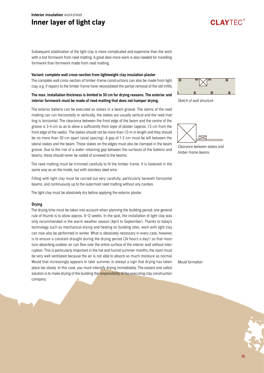Subsequent stabilisation of the light clay is more complicated and expensive than the work with a lost formwork from reed matting. A great deal more work is also needed for travelling formwork than formwork made from reed matting.

### Variant: complete wall cross-section from lightweight clay insulation plaster

The complete wall cross-section of timber-frame constructions can also be made from light clay, e.g. if repairs to the timber frame have necessitated the partial removal of the old infills.

### The max. installation thickness is limited to 30 cm for drying reasons. The exterior and interior formwork must be made of reed matting that does not hamper drying.

The exterior battens can be executed as stakes in a beam groove. The stems of the reed matting can run horizontally or vertically, the stakes are usually vertical and the reed matting is horizontal. The clearance between the front edge of the beam and the centre of the groove is 3-4 cm so as to allow a sufficiently thick layer of plaster (approx. 1.5 cm from the front edge of the reeds). The stakes should not be more than 1.0 m in length and they should be no more than 30 cm apart (axial spacing). A gap of 1-2 cm must be left between the lateral stakes and the beam. Those stakes on the edges must also be clamped in the beam groove. Due to the risk of a water-retaining gap between the surfaces of the battens and beams, these should never be nailed of screwed to the beams.

The reed matting must be trimmed carefully to fit the timber frame. It is fastened in the same way as on the inside, but with stainless steel wire.

Filling with light clay must be carried out very carefully, particularly beneath horizontal beams, and continuously up to the outermost reed matting without any cavities.

The light clay must be absolutely dry before applying the exterior plaster.

### Drying

The drying time must be taken into account when planning the building period; one general rule of thumb is to allow approx. 8-12 weeks. In the past, the installation of light clay was only recommended in the warm weather season (April to September). Thanks to today's technology such as mechanical drying and heating on building sites, work with light clay can now also be performed in winter. What is absolutely necessary in every case, however, is to ensure a constant draught during the drying period (24 hours a day!) so that moisture-absorbing outdoor air can flow over the entire surface of the interior wall without interruption. This is particularly important in the hot and humid summer months; the room must be very well ventilated because the air is not able to absorb as much moisture as normal. Mould that increasingly appears in later summer is always a sign that drying has taken place too slowly. In this case, you must intensify drying immediately. The easiest and safest solution is to make drying of the building the responsibility of the executing clay construction company.



**CLAYTEC®** 





Clearance between stakes and timber-frame beams

Mould formation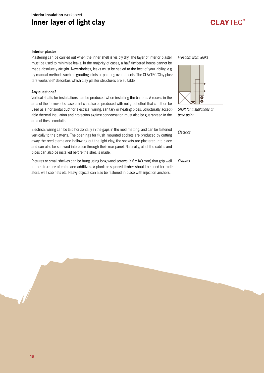### Interior plaster

Plastering can be carried out when the inner shell is visibly dry. The layer of interior plaster must be used to minimise leaks. In the majority of cases, a half-timbered house cannot be made absolutely airtight. Nevertheless, leaks must be sealed to the best of your ability, e.g. by manual methods such as grouting joints or painting over defects. The CLAYTEC 'Clay plasters worksheet' describes which clay plaster structures are suitable.

### Any questions?

Vertical shafts for installations can be produced when installing the battens. A recess in the area of the formwork's base point can also be produced with not great effort that can then be used as a horizontal duct for electrical wiring, sanitary or heating pipes. Structurally acceptable thermal insulation and protection against condensation must also be guaranteed in the area of these conduits.

Electrical wiring can be laid horizontally in the gaps in the reed matting, and can be fastened vertically to the battens. The openings for flush-mounted sockets are produced by cutting away the reed stems and hollowing out the light clay, the sockets are plastered into place and can also be screwed into place through their rear panel. Naturally, all of the cables and pipes can also be installed before the shell is made.

Pictures or small shelves can be hung using long wood screws ( $\geq 6$  x 140 mm) that grip well in the structure of chips and additives. A plank or squared timber should be used for radiators, wall cabinets etc. Heavy objects can also be fastened in place with injection anchors.

Freedom from leaks

**CLAYTFC®** 



Shaft for installations at base point

Electrics

Fixtures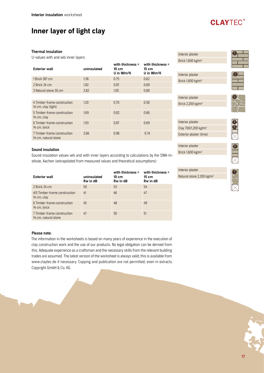### Thermal insulation

U-values with and w/o inner layers

| <b>Exterior wall</b>                                | uninsulated | with thickness =<br>$10 \text{ cm}$<br>U in W/m <sup>2</sup> K | with thickness =<br>15 cm<br>U in W/m <sup>2</sup> K |
|-----------------------------------------------------|-------------|----------------------------------------------------------------|------------------------------------------------------|
| $1$ Brick 36 <sup>5</sup> cm                        | 1.36        | 0.75                                                           | 0.62                                                 |
| 2 Brick 24 cm                                       | 1.82        | 0.87                                                           | 0.69                                                 |
| 3 Natural stone 30 cm                               | 2.82        | 1.05                                                           | 0.80                                                 |
|                                                     |             |                                                                |                                                      |
| 4 Timber-frame construction<br>14 cm, clay (light)  | 1.20        | 0.70                                                           | 0.58                                                 |
| 5 Timber-frame construction<br>14 cm, clay          | 1.69        | 0.82                                                           | 0.66                                                 |
| 6 Timber-frame construction<br>14 cm, brick         | 1.93        | 0.87                                                           | 0.69                                                 |
| 7 Timber-frame construction<br>14 cm, natural stone | 2.66        | 0.96                                                           | 0.74                                                 |

### Sound insulation

Sound insulation values w/o and with inner layers according to calculations by the SWA-Institute, Aachen (extrapolated from measured values and theoretical assumptions)

| <b>Exterior wall</b>                                | uninsulated<br>Rw in dB | with thickness $=$<br>10 cm<br><b>Rw</b> in dB | with thickness =<br>15 cm<br>Rw in dB |
|-----------------------------------------------------|-------------------------|------------------------------------------------|---------------------------------------|
| 2 Brick 24 cm                                       | 50                      | 53                                             | 54                                    |
| 4/5 Timber-frame construction<br>14 cm, clay        | 41                      | 46                                             | 47                                    |
| 6 Timber-frame construction<br>14 cm, brick         | 45                      | 48                                             | 49                                    |
| 7 Timber-frame construction<br>14 cm, natural stone | 47                      | 50                                             | 51                                    |

## Interior plaster Interior plaster Interior plaster Interior plaster Brick 1,600 kg/m3 Brick 1,600 kg/m3 Brick 2,200 kg/m3 Brick 1,600 kg/m3 Clay 700/1,200 kg/m3 Exterior plaster (lime) 2 3 4 6 5

**CLAYTFC®** 

Interior plaster Natural stone 2,200 kg/m3

Interior plaster



### Please note:

The information in the worksheets is based on many years of experience in the execution of clay construction work and the use of our products. No legal obligation can be derived from this. Adequate experience as a craftsman and the necessary skills from the relevant building trades are assumed. The latest version of the worksheet is always valid; this is available from www.claytec.de if necessary. Copying and publication are not permitted, even in extracts. Copyright GmbH & Co. KG.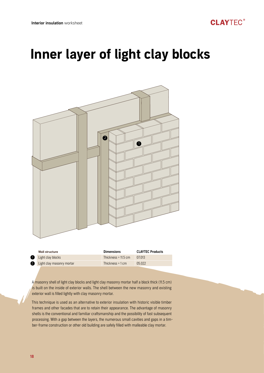

# Inner layer of light clay blocks



|   | Wall structure            | <b>Dimensions</b>          | <b>CLAYIEC Products</b> |
|---|---------------------------|----------------------------|-------------------------|
|   | Light clay blocks         | Thickness = $11.5$ cm      | 07.013                  |
| 2 | Light clay masonry mortar | Thickness = $1 \text{ cm}$ | 05.022                  |
|   |                           |                            |                         |

A masonry shell of light clay blocks and light clay masonry mortar half a block thick (11.5 cm) is built on the inside of exterior walls. The shell between the new masonry and existing exterior wall is filled lightly with clay masonry mortar.

This technique is used as an alternative to exterior insulation with historic visible timber frames and other facades that are to retain their appearance. The advantage of masonry shells is the conventional and familiar craftsmanship and the possibility of fast subsequent processing. With a gap between the layers, the numerous small cavities and gaps in a timber-frame construction or other old building are safely filled with malleable clay mortar.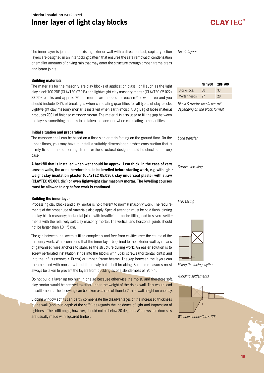# Inner layer of light clay blocks

The inner layer is joined to the existing exterior wall with a direct contact, capillary action layers are designed in an interlocking pattern that ensures the safe removal of condensation or smaller amounts of driving rain that may enter the structure through timber-frame areas and beam joints.

### Building materials

The materials for the masonry are clay blocks of application class I or II such as the light clay block 700 2DF (CLAYTEC 07.013) and lightweight clay masonry mortar (CLAYTEC 05.022). 33 2DF blocks and approx. 20 l or mortar are needed for each m2 of wall area and you should include 3-4% of breakages when calculating quantities for all types of clay blocks. Lightweight clay masonry mortar is installed when earth-moist. A Big Bag of loose material produces 700 l of finished masonry mortar. The material is also used to fill the gap between the layers, something that has to be taken into account when calculating the quantities.

### Initial situation and preparation

The masonry shell can be based on a floor slab or strip footing on the ground floor. On the upper floors, you may have to install a suitably dimensioned timber construction that is firmly fixed to the supporting structure; the structural design should be checked in every case.

A backfill that is installed when wet should be approx. 1 cm thick. In the case of very uneven walls, the area therefore has to be levelled before starting work, e.g. with lightweight clay insulation plaster (CLAYTEC 05.036), clay undercoat plaster with straw (CLAYTEC 05.001, div.) or even lightweight clay masonry mortar. The levelling courses must be allowed to dry before work is continued.

### Building the inner layer

Processing clay blocks and clay mortar is no different to normal masonry work. The requirements of the proper use of materials also apply. Special attention must be paid flush jointing in clay block masonry; horizontal joints with insufficient mortar filling lead to severe settlements with the relatively soft clay masonry mortar. The vertical and horizontal joints should not be larger than 1.0-1.5 cm.

The gap between the layers is filled completely and free from cavities over the course of the masonry work. We recommend that the inner layer be joined to the exterior wall by means of galvanised wire anchors to stabilise the structure during work. An easier solution is to screw perforated installation strips into the blocks with Spax screws (horizontal joints) and into the infills (screws > 10 cm) or timber-frame beams. The gap between the layers can then be filled with mortar without the newly built shell breaking. Suitable measures must always be taken to prevent the layers from buckling as of a slenderness of  $h/d > 15$ .

Do not build a layer up too high in one go because otherwise the moist, and therefore soft, clay mortar would be pressed together under the weight of the rising wall. This would lead to settlements. The following can be taken as a rule of thumb: 2 m of wall height on one day.

Sloping window soffits can partly compensate the disadvantages of the increased thickness of the wall (and thus depth of the soffit) as regards the incidence of light and impression of lightness. The soffit angle, however, should not be below 30 degrees. Windows and door sills are usually made with squared timber.

No air layers

|                   | NF 1200 2DF 700 |    |
|-------------------|-----------------|----|
| Blocks pcs.       | 50              | 33 |
| Mortar needs   27 |                 | 20 |

Block & mortar needs per m2 depending on the block format

Load transfer

### Surface levelling

### Processing



Fixing the facing wythe

Avoiding settlements



Window connection  $\leq 30^\circ$